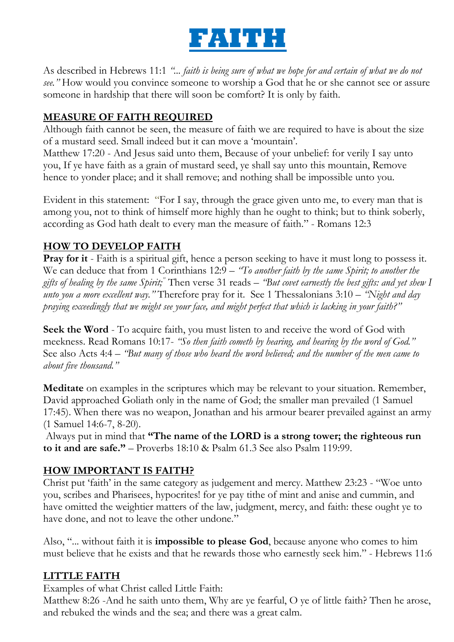

As described in Hebrews 11:1 *"... faith is being sure of what we hope for and certain of what we do not see."* How would you convince someone to worship a God that he or she cannot see or assure someone in hardship that there will soon be comfort? It is only by faith.

# **MEASURE OF FAITH REQUIRED**

Although faith cannot be seen, the measure of faith we are required to have is about the size of a mustard seed. Small indeed but it can move a "mountain".

Matthew 17:20 - And Jesus said unto them, Because of your unbelief: for verily I say unto you, If ye have faith as a grain of mustard seed, ye shall say unto this mountain, Remove hence to yonder place; and it shall remove; and nothing shall be impossible unto you.

Evident in this statement: "For I say, through the grace given unto me, to every man that is among you, not to think of himself more highly than he ought to think; but to think soberly, according as God hath dealt to every man the measure of faith." - Romans 12:3

## **HOW TO DEVELOP FAITH**

**Pray for it** - Faith is a spiritual gift, hence a person seeking to have it must long to possess it. We can deduce that from 1 Corinthians 12:9 – *"To another faith by the same Spirit; to another the gifts of healing by the same Spirit;"* Then verse 31 reads – *"But covet earnestly the best gifts: and yet shew I unto you a more excellent way."* Therefore pray for it. See 1 Thessalonians 3:10 – *"Night and day praying exceedingly that we might see your face, and might perfect that which is lacking in your faith?"*

**Seek the Word** - To acquire faith, you must listen to and receive the word of God with meekness. Read Romans 10:17- *"So then faith cometh by hearing, and hearing by the word of God."* See also Acts 4:4 – *"But many of those who heard the word believed; and the number of the men came to about five thousand."*

**Meditate** on examples in the scriptures which may be relevant to your situation. Remember, David approached Goliath only in the name of God; the smaller man prevailed (1 Samuel 17:45). When there was no weapon, Jonathan and his armour bearer prevailed against an army (1 Samuel 14:6-7, 8-20).

Always put in mind that **"The name of the LORD is a strong tower; the righteous run to it and are safe."** – Proverbs 18:10 & Psalm 61.3 See also Psalm 119:99.

## **HOW IMPORTANT IS FAITH?**

Christ put "faith" in the same category as judgement and mercy. Matthew 23:23 - "Woe unto you, scribes and Pharisees, hypocrites! for ye pay tithe of mint and anise and cummin, and have omitted the weightier matters of the law, judgment, mercy, and faith: these ought ye to have done, and not to leave the other undone."

Also, "... without faith it is **impossible to please God**, because anyone who comes to him must believe that he exists and that he rewards those who earnestly seek him." - Hebrews 11:6

## **LITTLE FAITH**

Examples of what Christ called Little Faith:

Matthew 8:26 -And he saith unto them, Why are ye fearful, O ye of little faith? Then he arose, and rebuked the winds and the sea; and there was a great calm.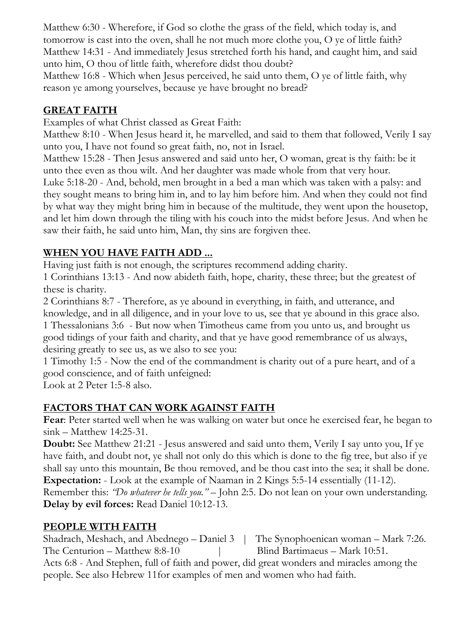Matthew 6:30 - Wherefore, if God so clothe the grass of the field, which today is, and tomorrow is cast into the oven, shall he not much more clothe you, O ye of little faith? Matthew 14:31 - And immediately Jesus stretched forth his hand, and caught him, and said unto him, O thou of little faith, wherefore didst thou doubt?

Matthew 16:8 - Which when Jesus perceived, he said unto them, O ye of little faith, why reason ye among yourselves, because ye have brought no bread?

# **GREAT FAITH**

Examples of what Christ classed as Great Faith:

Matthew 8:10 - When Jesus heard it, he marvelled, and said to them that followed, Verily I say unto you, I have not found so great faith, no, not in Israel.

Matthew 15:28 - Then Jesus answered and said unto her, O woman, great is thy faith: be it unto thee even as thou wilt. And her daughter was made whole from that very hour.

Luke 5:18-20 - And, behold, men brought in a bed a man which was taken with a palsy: and they sought means to bring him in, and to lay him before him. And when they could not find by what way they might bring him in because of the multitude, they went upon the housetop, and let him down through the tiling with his couch into the midst before Jesus. And when he saw their faith, he said unto him, Man, thy sins are forgiven thee.

# **WHEN YOU HAVE FAITH ADD ...**

Having just faith is not enough, the scriptures recommend adding charity.

1 Corinthians 13:13 - And now abideth faith, hope, charity, these three; but the greatest of these is charity.

2 Corinthians 8:7 - Therefore, as ye abound in everything, in faith, and utterance, and knowledge, and in all diligence, and in your love to us, see that ye abound in this grace also.

1 Thessalonians 3:6 - But now when Timotheus came from you unto us, and brought us good tidings of your faith and charity, and that ye have good remembrance of us always, desiring greatly to see us, as we also to see you:

1 Timothy 1:5 - Now the end of the commandment is charity out of a pure heart, and of a good conscience, and of faith unfeigned:

Look at 2 Peter 1:5-8 also.

# **FACTORS THAT CAN WORK AGAINST FAITH**

**Fear**: Peter started well when he was walking on water but once he exercised fear, he began to sink – Matthew 14:25-31.

**Doubt:** See Matthew 21:21 - Jesus answered and said unto them, Verily I say unto you, If ye have faith, and doubt not, ye shall not only do this which is done to the fig tree, but also if ye shall say unto this mountain, Be thou removed, and be thou cast into the sea; it shall be done. **Expectation:** - Look at the example of Naaman in 2 Kings 5:5-14 essentially (11-12). Remember this: *"Do whatever he tells you."* – John 2:5. Do not lean on your own understanding. **Delay by evil forces:** Read Daniel 10:12-13.

## **PEOPLE WITH FAITH**

Shadrach, Meshach, and Abednego – Daniel 3 | The Synophoenican woman – Mark 7:26. The Centurion – Matthew 8:8-10 | Blind Bartimaeus – Mark 10:51. Acts 6:8 - And Stephen, full of faith and power, did great wonders and miracles among the people. See also Hebrew 11for examples of men and women who had faith.